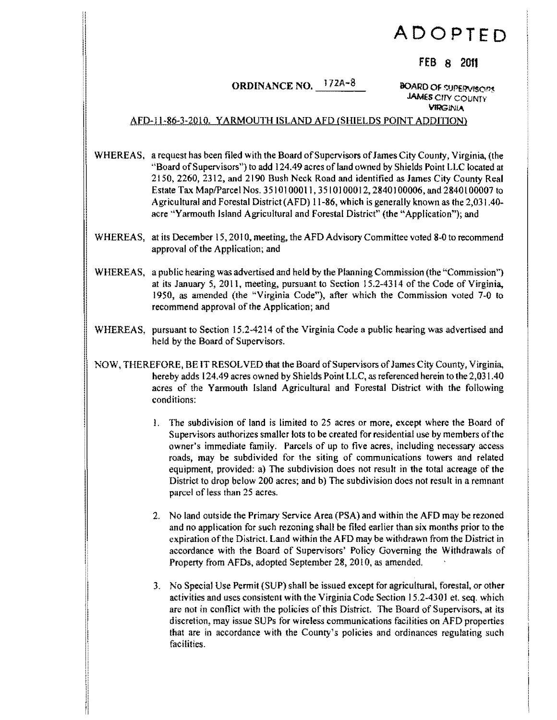## **ADOPTED**

## FEB 8 2011

## ORDINANCE NO.  $172A-8$  BOARD OF SUPERVISORS

JAMES CITY COUNTY YlIlGlNlA

## AFD-II-86-3-2010. YARMOUTH ISLAND AFD (SHIELDS POINT ADDITION)

WHEREAS, a request has been filed with the Board of Supervisors of James City County, Virginia, (the "Board ofSupervisors") to add 124.49 acres ofland owned by Shields Point LLC located at 2150, 2260, 2312, and 2190 Bush Neck Road and identified as James City County Real Estate Tax Map/Parcel Nos. 3510100011, 3510100012, 2840100006, and 2840100007 to Agricultural and Forestal District (AFD) 11-86, which is generally known as the 2,031.40acre "Yarmouth Island Agricultural and Forestal District" (the "Application"); and

- WHEREAS, at its December 15, 2010, meeting, the AFD Advisory Committee voted 8-0 to recommend approval of the Application; and
- WHEREAS, a public hearing was advertised and held by the Planning Commission (the "Commission") at its January 5, 2011, meeting, pursuant to Section  $15.2-4314$  of the Code of Virginia, 1950, as amended (the "Virginia Code"), after which the Commission voted 7-0 to recommend approval of the Application; and
- WHEREAS, pursuant to Section 15.2-4214 of the Virginia Code a public hearing was advertised and held by the Board of Supervisors.
- NOW, THEREFORE, BE IT RESOLVED that the Board ofSupervisors ofJames City County, Virginia, hereby adds 124.49 acres owned by Shields Point LLC, as referenced herein to the 2,031.40 acres of the Yarmouth Island Agricultural and Forestal District with the following conditions:
	- 1. The subdivision of land is limited to 25 acres or more, except where the Board of Supervisors authorizes smaller lots to be created for residential use by members ofthe owner's immediate family. Parcels of up to five acres, including necessary access roads, may be subdivided for the siting of communications towers and related equipment, provided: a) The subdivision does not result in the total acreage of the District to drop below 200 acres; and b) The subdivision does not result in a remnant parcel of less than 25 acres.
	- 2. No land outside the Primary Service Area (PSA) and within the AFD may be rezoned and no application for such rezoning shall be filed earlier than six months prior to the expiration ofthe District. Land within the AFD may be withdrawn from the District in accordance with the Board of Supervisors' Policy Governing the Withdrawals of Property from AFDs, adopted September 28, 2010, as amended.
	- 3. No Special Use Permit (SUP) shall be issued except for agricultural, forestal, or other activities and uses consistent with the Virginia Code Section 15.2-4301 et. seq. which are not in conflict with the policies of this District. The Board of Supervisors, at its discretion, may issue SUPs for wireless communications facilities on AFD properties that are in accordance with the County's policies and ordinances regulating such facilities.